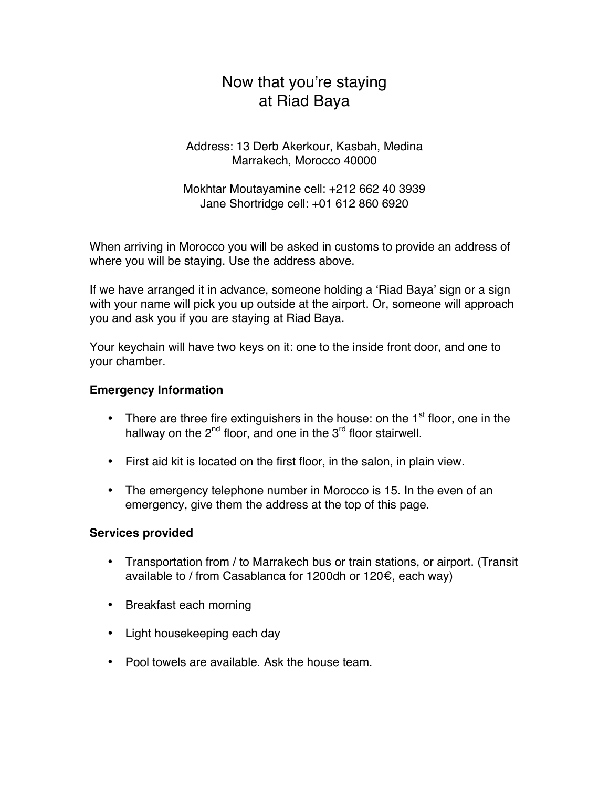# Now that you're staying at Riad Baya

Address: 13 Derb Akerkour, Kasbah, Medina Marrakech, Morocco 40000

Mokhtar Moutayamine cell: +212 662 40 3939 Jane Shortridge cell: +01 612 860 6920

When arriving in Morocco you will be asked in customs to provide an address of where you will be staying. Use the address above.

If we have arranged it in advance, someone holding a 'Riad Baya' sign or a sign with your name will pick you up outside at the airport. Or, someone will approach you and ask you if you are staying at Riad Baya.

Your keychain will have two keys on it: one to the inside front door, and one to your chamber.

## **Emergency Information**

- There are three fire extinguishers in the house: on the  $1<sup>st</sup>$  floor, one in the hallway on the  $2^{nd}$  floor, and one in the  $3^{rd}$  floor stairwell.
- First aid kit is located on the first floor, in the salon, in plain view.
- The emergency telephone number in Morocco is 15. In the even of an emergency, give them the address at the top of this page.

## **Services provided**

- Transportation from / to Marrakech bus or train stations, or airport. (Transit available to / from Casablanca for 1200dh or 120€, each way)
- Breakfast each morning
- Light housekeeping each day
- Pool towels are available. Ask the house team.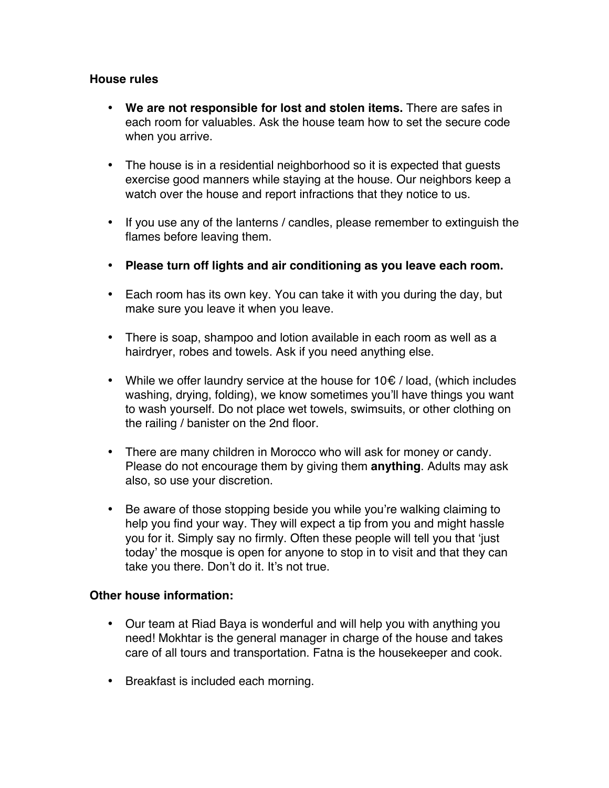## **House rules**

- **We are not responsible for lost and stolen items.** There are safes in each room for valuables. Ask the house team how to set the secure code when you arrive.
- The house is in a residential neighborhood so it is expected that guests exercise good manners while staying at the house. Our neighbors keep a watch over the house and report infractions that they notice to us.
- If you use any of the lanterns / candles, please remember to extinguish the flames before leaving them.
- **Please turn off lights and air conditioning as you leave each room.**
- Each room has its own key. You can take it with you during the day, but make sure you leave it when you leave.
- There is soap, shampoo and lotion available in each room as well as a hairdryer, robes and towels. Ask if you need anything else.
- While we offer laundry service at the house for 10€ / load, (which includes washing, drying, folding), we know sometimes you'll have things you want to wash yourself. Do not place wet towels, swimsuits, or other clothing on the railing / banister on the 2nd floor.
- There are many children in Morocco who will ask for money or candy. Please do not encourage them by giving them **anything**. Adults may ask also, so use your discretion.
- Be aware of those stopping beside you while you're walking claiming to help you find your way. They will expect a tip from you and might hassle you for it. Simply say no firmly. Often these people will tell you that 'just today' the mosque is open for anyone to stop in to visit and that they can take you there. Don't do it. It's not true.

## **Other house information:**

- Our team at Riad Baya is wonderful and will help you with anything you need! Mokhtar is the general manager in charge of the house and takes care of all tours and transportation. Fatna is the housekeeper and cook.
- Breakfast is included each morning.